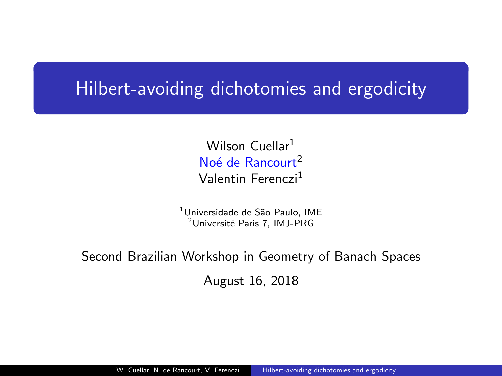## <span id="page-0-0"></span>Hilbert-avoiding dichotomies and ergodicity

Wilson Cuellar<sup>1</sup> Noé de Rancourt<sup>2</sup> Valentin Ferenczi<sup>1</sup>

<sup>1</sup>Universidade de São Paulo, IME <sup>2</sup>Université Paris 7, IMJ-PRG

### Second Brazilian Workshop in Geometry of Banach Spaces August 16, 2018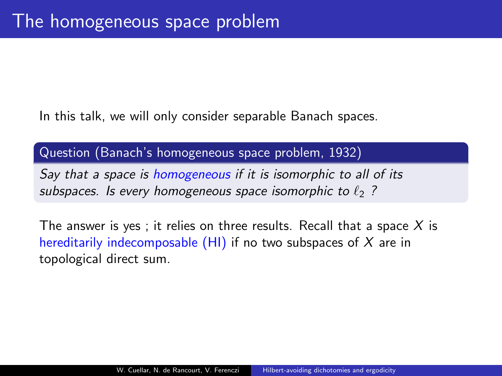In this talk, we will only consider separable Banach spaces.

#### Question (Banach's homogeneous space problem, 1932)

Say that a space is homogeneous if it is isomorphic to all of its subspaces. Is every homogeneous space isomorphic to  $\ell_2$  ?

The answer is yes ; it relies on three results. Recall that a space  $X$  is hereditarily indecomposable  $(HI)$  if no two subspaces of X are in topological direct sum.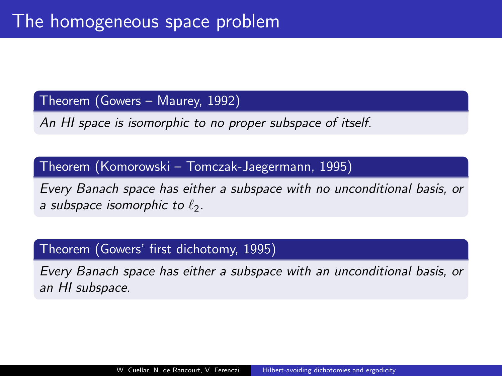Theorem (Gowers – Maurey, 1992)

An HI space is isomorphic to no proper subspace of itself.

Theorem (Komorowski – Tomczak-Jaegermann, 1995)

Every Banach space has either a subspace with no unconditional basis, or a subspace isomorphic to  $\ell_2$ .

### Theorem (Gowers' first dichotomy, 1995)

Every Banach space has either a subspace with an unconditional basis, or an HI subspace.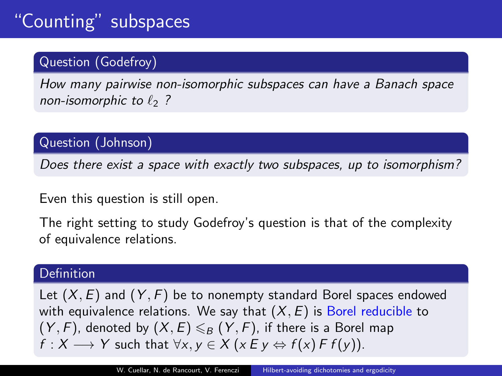### Question (Godefroy)

How many pairwise non-isomorphic subspaces can have a Banach space non-isomorphic to  $\ell_2$  ?

Question (Johnson)

Does there exist a space with exactly two subspaces, up to isomorphism?

Even this question is still open.

The right setting to study Godefroy's question is that of the complexity of equivalence relations.

#### Definition

Let  $(X, E)$  and  $(Y, F)$  be to nonempty standard Borel spaces endowed with equivalence relations. We say that  $(X, E)$  is Borel reducible to  $(Y, F)$ , denoted by  $(X, E) \leq B(Y, F)$ , if there is a Borel map  $f: X \longrightarrow Y$  such that  $\forall x, y \in X \ (x \in y \Leftrightarrow f(x) \in f(y)).$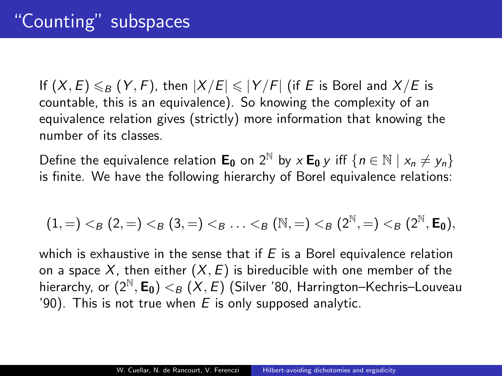If  $(X, E) \le B$   $(Y, F)$ , then  $|X/E| \le |Y/F|$  (if E is Borel and  $X/E$  is countable, this is an equivalence). So knowing the complexity of an equivalence relation gives (strictly) more information that knowing the number of its classes.

Define the equivalence relation  $\mathbf{E}_0$  on  $2^{\mathbb{N}}$  by  $x \mathbf{E}_0 y$  iff  $\{n \in \mathbb{N} \mid x_n \neq y_n\}$ is finite. We have the following hierarchy of Borel equivalence relations:

$$
(1, =) <_{{\mathcal B}}(2, =) <_{{\mathcal B}}(3, =) <_{{\mathcal B}} \ldots <_{{\mathcal B}}({\mathbb N}, =) <_{{\mathcal B}}(2^{\mathbb N}, =) <_{{\mathcal B}}(2^{\mathbb N}, \textbf{E}_0),
$$

which is exhaustive in the sense that if  $E$  is a Borel equivalence relation on a space X, then either  $(X, E)$  is bireducible with one member of the hierarchy, or  $(2^{\mathbb{N}}, \mathbf{E_0}) <_{\mathcal{B}} (X, \mathcal{E})$  (Silver '80, Harrington–Kechris–Louveau '90). This is not true when  $E$  is only supposed analytic.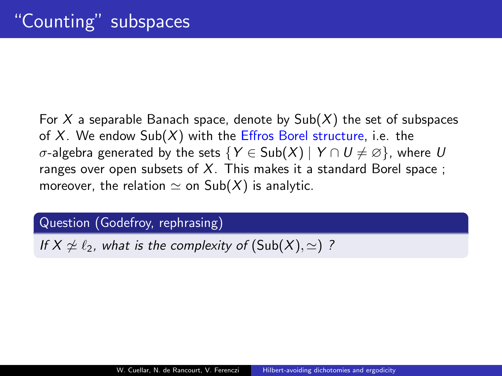For X a separable Banach space, denote by  $Sub(X)$  the set of subspaces of  $X$ . We endow  $\text{Sub}(X)$  with the Effros Borel structure, i.e. the σ-algebra generated by the sets {Y ∈ Sub(X) | Y ∩  $U \neq \emptyset$ }, where U ranges over open subsets of  $X$ . This makes it a standard Borel space ; moreover, the relation  $\simeq$  on Sub(X) is analytic.

Question (Godefroy, rephrasing)

If  $X \not\cong \ell_2$ , what is the complexity of  $(Sub(X), \simeq)$  ?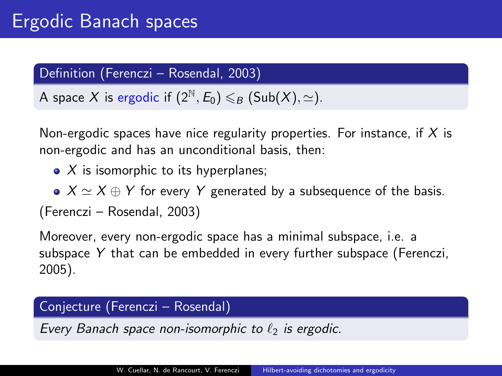### Definition (Ferenczi – Rosendal, 2003)

A space X is ergodic if  $(2^{\mathbb{N}}, E_0) \leq_B (Sub(X), \simeq)$ .

Non-ergodic spaces have nice regularity properties. For instance, if  $X$  is non-ergodic and has an unconditional basis, then:

- $\bullet$  X is isomorphic to its hyperplanes;
- $X \simeq X \oplus Y$  for every Y generated by a subsequence of the basis.

(Ferenczi – Rosendal, 2003)

Moreover, every non-ergodic space has a minimal subspace, i.e. a subspace Y that can be embedded in every further subspace (Ferenczi, 2005).

#### Conjecture (Ferenczi – Rosendal)

Every Banach space non-isomorphic to  $\ell_2$  is ergodic.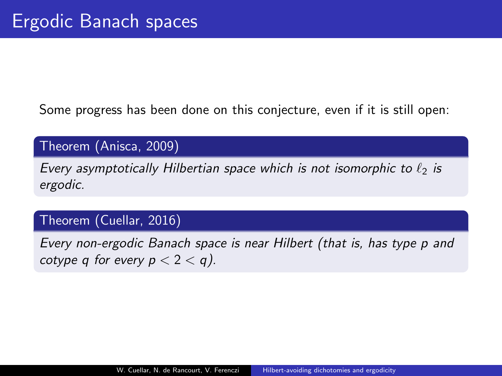Some progress has been done on this conjecture, even if it is still open:

Theorem (Anisca, 2009)

Every asymptotically Hilbertian space which is not isomorphic to  $\ell_2$  is ergodic.

### Theorem (Cuellar, 2016)

Every non-ergodic Banach space is near Hilbert (that is, has type p and cotype q for every  $p < 2 < q$ ).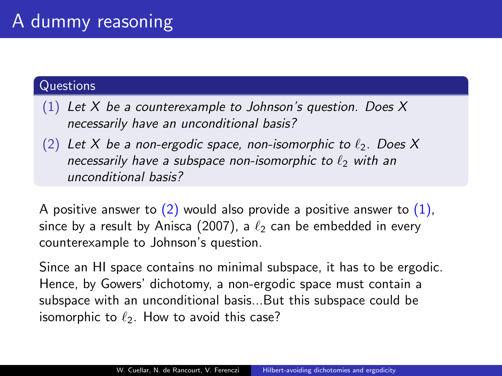#### **Questions**

- (1) Let X be a counterexample to Johnson's question. Does X necessarily have an unconditional basis?
- (2) Let X be a non-ergodic space, non-isomorphic to  $\ell_2$ . Does X necessarily have a subspace non-isomorphic to  $\ell_2$  with an unconditional basis?

A positive answer to  $(2)$  would also provide a positive answer to  $(1)$ . since by a result by Anisca (2007), a  $\ell_2$  can be embedded in every counterexample to Johnson's question.

Since an HI space contains no minimal subspace, it has to be ergodic. Hence, by Gowers' dichotomy, a non-ergodic space must contain a subspace with an unconditional basis...But this subspace could be isomorphic to  $\ell_2$ . How to avoid this case?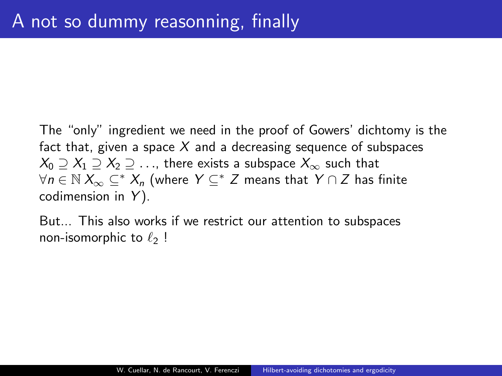The "only" ingredient we need in the proof of Gowers' dichtomy is the fact that, given a space  $X$  and a decreasing sequence of subspaces  $X_0 \supseteq X_1 \supseteq X_2 \supseteq \ldots$ , there exists a subspace  $X_{\infty}$  such that  $\forall n \in \mathbb{N}$   $X_{\infty} \subseteq^* X_n$  (where  $Y \subseteq^* Z$  means that  $Y \cap Z$  has finite codimension in  $Y$ ).

But... This also works if we restrict our attention to subspaces non-isomorphic to  $\ell_2$ !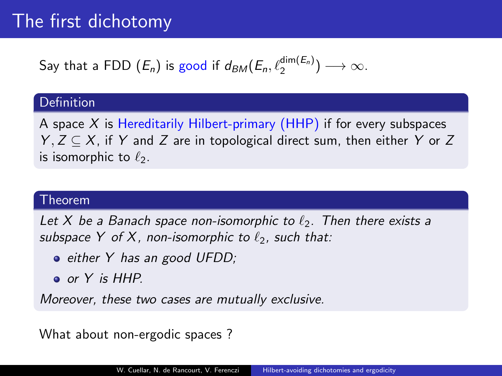# The first dichotomy

# Say that a FDD  $(E_n)$  is good if  $d_{BM}(E_n,\ell_2^{\dim(E_n)}) \longrightarrow \infty$ .

#### Definition

A space  $X$  is Hereditarily Hilbert-primary (HHP) if for every subspaces  $Y, Z \subseteq X$ , if Y and Z are in topological direct sum, then either Y or Z is isomorphic to  $\ell_2$ .

#### Theorem

Let X be a Banach space non-isomorphic to  $\ell_2$ . Then there exists a subspace Y of X, non-isomorphic to  $\ell_2$ , such that:

- either Y has an good UFDD;
- or Y is HHP.

Moreover, these two cases are mutually exclusive.

What about non-ergodic spaces ?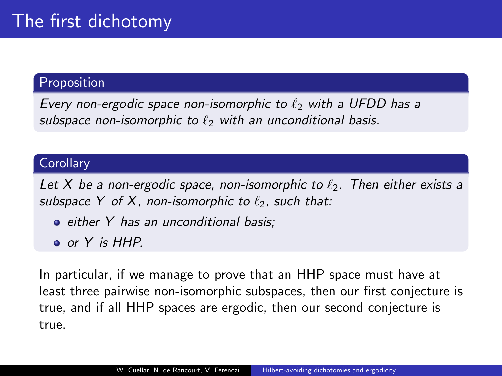### Proposition

Every non-ergodic space non-isomorphic to  $\ell_2$  with a UFDD has a subspace non-isomorphic to  $\ell_2$  with an unconditional basis.

#### **Corollary**

Let X be a non-ergodic space, non-isomorphic to  $\ell_2$ . Then either exists a subspace Y of X, non-isomorphic to  $\ell_2$ , such that:

- either Y has an unconditional basis;
- or Y is HHP.

In particular, if we manage to prove that an HHP space must have at least three pairwise non-isomorphic subspaces, then our first conjecture is true, and if all HHP spaces are ergodic, then our second conjecture is true.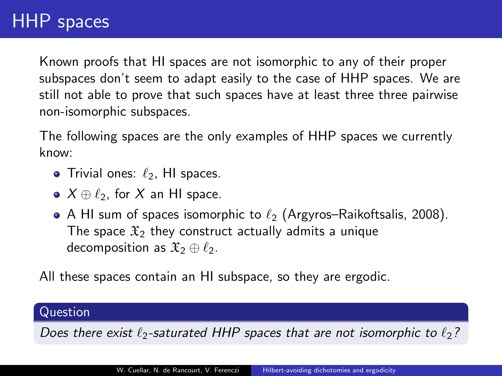## HHP spaces

Known proofs that HI spaces are not isomorphic to any of their proper subspaces don't seem to adapt easily to the case of HHP spaces. We are still not able to prove that such spaces have at least three three pairwise non-isomorphic subspaces.

The following spaces are the only examples of HHP spaces we currently know:

- $\bullet$  Trivial ones:  $\ell_2$ . HI spaces.
- $\bullet$   $X \oplus \ell_2$ , for X an HI space.
- A HI sum of spaces isomorphic to  $\ell_2$  (Argyros–Raikoftsalis, 2008). The space  $\mathfrak{X}_2$  they construct actually admits a unique decomposition as  $\mathfrak{X}_2 \oplus \ell_2$ .

All these spaces contain an HI subspace, so they are ergodic.

#### Question

Does there exist  $\ell_2$ -saturated HHP spaces that are not isomorphic to  $\ell_2$ ?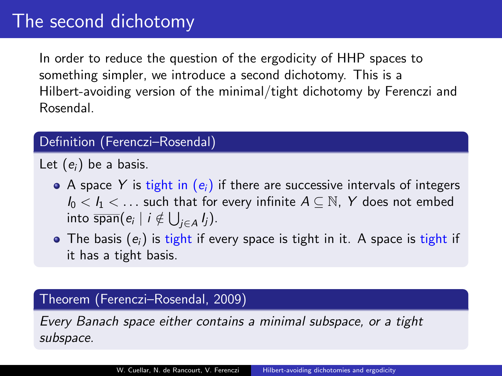In order to reduce the question of the ergodicity of HHP spaces to something simpler, we introduce a second dichotomy. This is a Hilbert-avoiding version of the minimal/tight dichotomy by Ferenczi and Rosendal.

#### Definition (Ferenczi–Rosendal)

Let  $(e_i)$  be a basis.

- A space Y is tight in  $(e_i)$  if there are successive intervals of integers  $I_0 < I_1 < \ldots$  such that for every infinite  $A \subseteq \mathbb{N}$ , Y does not embed into  $\overline{\textsf{span}}(e_i \mid i \notin \bigcup_{j \in A} I_j).$
- The basis  $(e_i)$  is tight if every space is tight in it. A space is tight if it has a tight basis.

#### Theorem (Ferenczi–Rosendal, 2009)

Every Banach space either contains a minimal subspace, or a tight subspace.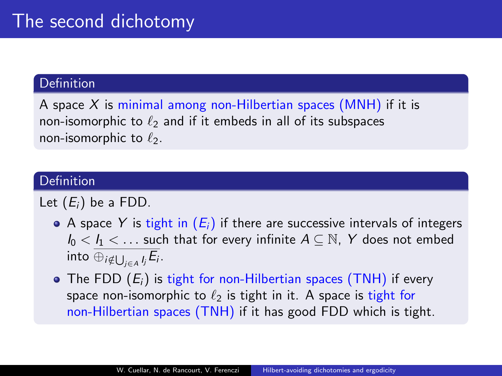#### **Definition**

A space  $X$  is minimal among non-Hilbertian spaces (MNH) if it is non-isomorphic to  $\ell_2$  and if it embeds in all of its subspaces non-isomorphic to  $\ell_2$ .

#### Definition

Let  $(E_i)$  be a FDD.

- A space Y is tight in  $(E_i)$  if there are successive intervals of integers  $I_0 < I_1 < \ldots$  such that for every infinite  $A \subseteq \mathbb{N}$ , Y does not embed into  $\oplus_{i\notin \bigcup_{j\in A}I_j}E_i$  .
- $\bullet$  The FDD  $(E_i)$  is tight for non-Hilbertian spaces (TNH) if every space non-isomorphic to  $\ell_2$  is tight in it. A space is tight for non-Hilbertian spaces (TNH) if it has good FDD which is tight.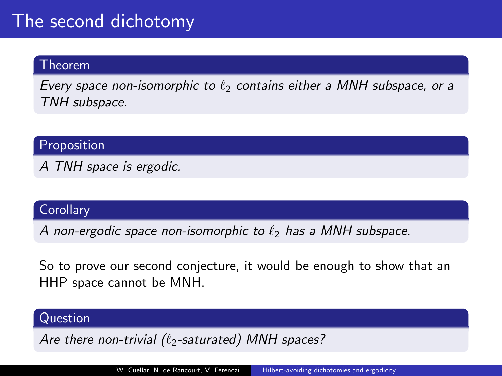#### Theorem

Every space non-isomorphic to  $\ell_2$  contains either a MNH subspace, or a TNH subspace.

**Proposition** 

A TNH space is ergodic.

### **Corollary**

A non-ergodic space non-isomorphic to  $\ell_2$  has a MNH subspace.

So to prove our second conjecture, it would be enough to show that an HHP space cannot be MNH.

#### Question

Are there non-trivial  $(\ell_2$ -saturated) MNH spaces?